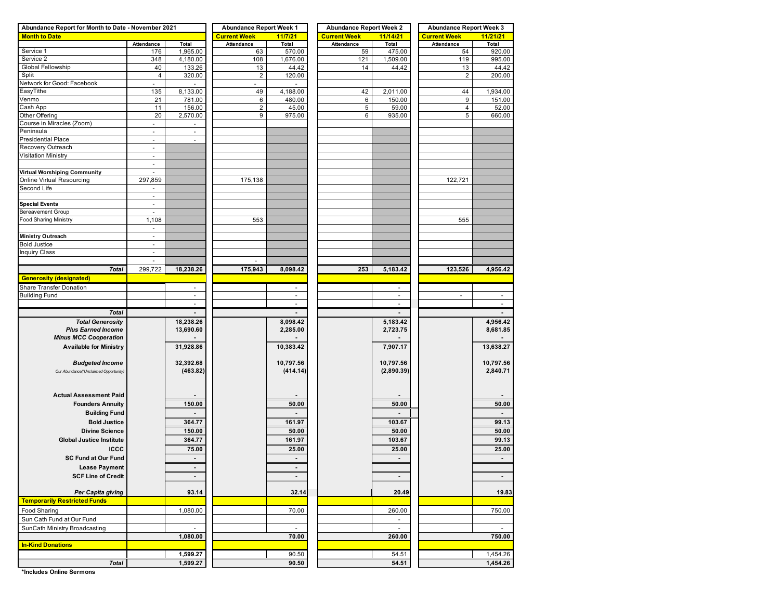| Abundance Report for Month to Date - November 2021 |                          |                          | <b>Abundance Report Week 1</b> |              | <b>Abundance Report Week 2</b> |                          | <b>Abundance Report Week 3</b> |                |  |  |  |
|----------------------------------------------------|--------------------------|--------------------------|--------------------------------|--------------|--------------------------------|--------------------------|--------------------------------|----------------|--|--|--|
| <b>Month to Date</b>                               |                          |                          | <b>Current Week</b>            | 11/7/21      | <b>Current Week</b>            | 11/14/21                 | <b>Current Week</b>            | 11/21/21       |  |  |  |
|                                                    | Attendance               | Total                    | Attendance                     | <b>Total</b> | Attendance                     | <b>Total</b>             | Attendance                     | Total          |  |  |  |
| Service 1                                          | 176                      | 1,965.00                 | 63                             | 570.00       | 59                             | 475.00                   | 54                             | 920.00         |  |  |  |
| Service 2                                          | 348                      | 4,180.00                 | 108                            | 1,676.00     | 121                            | 1,509.00                 | 119                            | 995.00         |  |  |  |
| Global Fellowship                                  | 40                       | 133.26                   | 13                             | 44.42        | 14                             | 44.42                    | 13                             | 44.42          |  |  |  |
| Split                                              | $\overline{4}$           | 320.00                   | $\overline{\mathbf{c}}$        | 120.00       |                                |                          | $\overline{2}$                 | 200.00         |  |  |  |
| Network for Good: Facebook                         | $\overline{\phantom{a}}$ | $\overline{\phantom{a}}$ | $\blacksquare$                 |              |                                |                          |                                |                |  |  |  |
| EasyTithe                                          | 135                      | 8,133.00                 | 49                             | 4,188.00     | 42                             | 2,011.00                 | 44                             | 1,934.00       |  |  |  |
| Venmo                                              | 21                       | 781.00                   | 6                              | 480.00       | 6                              | 150.00                   | 9                              | 151.00         |  |  |  |
| Cash App                                           | 11                       | 156.00                   | $\overline{c}$                 | 45.00        | 5                              | 59.00                    | 4                              | 52.00          |  |  |  |
| Other Offering                                     | 20                       | 2,570.00                 | 9                              | 975.00       | 6                              | 935.00                   | 5                              | 660.00         |  |  |  |
| Course in Miracles (Zoom)                          | ÷,                       |                          |                                |              |                                |                          |                                |                |  |  |  |
| Peninsula                                          | $\overline{\phantom{a}}$ | $\overline{\phantom{a}}$ |                                |              |                                |                          |                                |                |  |  |  |
| Presidential Place                                 | $\overline{\phantom{a}}$ | $\sim$                   |                                |              |                                |                          |                                |                |  |  |  |
| Recovery Outreach                                  | $\overline{\phantom{a}}$ |                          |                                |              |                                |                          |                                |                |  |  |  |
| Visitation Ministry                                | $\blacksquare$           |                          |                                |              |                                |                          |                                |                |  |  |  |
|                                                    | $\overline{a}$           |                          |                                |              |                                |                          |                                |                |  |  |  |
| Virtual Worshiping Community                       | $\blacksquare$           |                          |                                |              |                                |                          |                                |                |  |  |  |
| Online Virtual Resourcing                          | 297,859                  |                          | 175,138                        |              |                                |                          | 122,721                        |                |  |  |  |
| Second Life                                        | $\frac{1}{2}$            |                          |                                |              |                                |                          |                                |                |  |  |  |
|                                                    | $\overline{\phantom{a}}$ |                          |                                |              |                                |                          |                                |                |  |  |  |
| <b>Special Events</b>                              | $\overline{\phantom{a}}$ |                          |                                |              |                                |                          |                                |                |  |  |  |
| Bereavement Group                                  | ÷,                       |                          |                                |              |                                |                          |                                |                |  |  |  |
| Food Sharing Ministry                              | 1,108                    |                          | 553                            |              |                                |                          | 555                            |                |  |  |  |
|                                                    | $\overline{\phantom{a}}$ |                          |                                |              |                                |                          |                                |                |  |  |  |
| Ministry Outreach                                  | $\overline{a}$           |                          |                                |              |                                |                          |                                |                |  |  |  |
| <b>Bold Justice</b>                                | $\overline{\phantom{a}}$ |                          |                                |              |                                |                          |                                |                |  |  |  |
| <b>Inquiry Class</b>                               | $\overline{\phantom{a}}$ |                          |                                |              |                                |                          |                                |                |  |  |  |
|                                                    | $\frac{1}{2}$            |                          | ä,                             |              |                                |                          |                                |                |  |  |  |
| <b>Total</b>                                       | 299,722                  | 18,238.26                | 175,943                        | 8,098.42     | 253                            | 5,183.42                 | 123,526                        | 4,956.42       |  |  |  |
| <b>Generosity (designated)</b>                     |                          |                          |                                |              |                                |                          |                                |                |  |  |  |
| Share Transfer Donation                            |                          | ٠                        |                                |              |                                | ٠                        |                                |                |  |  |  |
| <b>Building Fund</b>                               |                          | ÷,                       |                                |              |                                | $\frac{1}{2}$            | ÷                              |                |  |  |  |
|                                                    |                          | $\sim$                   |                                | $\omega$     |                                | $\sim$                   |                                | ÷,             |  |  |  |
|                                                    |                          |                          |                                |              |                                |                          |                                |                |  |  |  |
| <b>Total</b>                                       |                          |                          |                                |              |                                |                          |                                |                |  |  |  |
| <b>Total Generosity</b>                            |                          | 18,238.26                |                                | 8,098.42     |                                | 5,183.42                 |                                | 4,956.42       |  |  |  |
| <b>Plus Earned Income</b>                          |                          | 13,690.60                |                                | 2,285.00     |                                | 2,723.75                 |                                | 8,681.85       |  |  |  |
| <b>Minus MCC Cooperation</b>                       |                          |                          |                                |              |                                |                          |                                |                |  |  |  |
| <b>Available for Ministry</b>                      |                          | 31,928.86                |                                | 10,383.42    |                                | 7,907.17                 |                                | 13,638.27      |  |  |  |
|                                                    |                          |                          |                                |              |                                |                          |                                |                |  |  |  |
| <b>Budgeted Income</b>                             |                          | 32,392.68                |                                | 10,797.56    |                                | 10,797.56                |                                | 10,797.56      |  |  |  |
| Our Abundance/(Unclaimed Opportunity)              |                          | (463.82)                 |                                | (414.14)     |                                | (2,890.39)               |                                | 2,840.71       |  |  |  |
|                                                    |                          |                          |                                |              |                                |                          |                                |                |  |  |  |
|                                                    |                          |                          |                                |              |                                |                          |                                |                |  |  |  |
| <b>Actual Assessment Paid</b>                      |                          |                          |                                |              |                                |                          |                                |                |  |  |  |
| <b>Founders Annuity</b>                            |                          | 150.00                   |                                | 50.00        |                                | 50.00                    |                                | 50.00          |  |  |  |
| <b>Building Fund</b>                               |                          |                          |                                |              |                                |                          |                                |                |  |  |  |
| <b>Bold Justice</b>                                |                          | 364.77                   |                                | 161.97       |                                | 103.67                   |                                | 99.13          |  |  |  |
| <b>Divine Science</b>                              |                          | 150.00                   |                                | 50.00        |                                | 50.00                    |                                | 50.00          |  |  |  |
| <b>Global Justice Institute</b>                    |                          | 364.77                   |                                | 161.97       |                                | 103.67                   |                                | 99.13          |  |  |  |
|                                                    |                          |                          |                                |              |                                |                          |                                |                |  |  |  |
| <b>ICCC</b>                                        |                          | 75.00                    |                                | 25.00        |                                | 25.00                    |                                | 25.00          |  |  |  |
| <b>SC Fund at Our Fund</b>                         |                          | $\blacksquare$           |                                | ۰.           |                                | $\blacksquare$           |                                | $\blacksquare$ |  |  |  |
| <b>Lease Payment</b>                               |                          | ٠                        |                                |              |                                |                          |                                |                |  |  |  |
| <b>SCF Line of Credit</b>                          |                          | ٠                        |                                | ٠            |                                | $\blacksquare$           |                                | $\blacksquare$ |  |  |  |
|                                                    |                          |                          |                                |              |                                |                          |                                |                |  |  |  |
| Per Capita giving                                  |                          | 93.14                    |                                | 32.14        |                                | 20.49                    |                                | 19.83          |  |  |  |
| <b>Temporarily Restricted Funds</b>                |                          |                          |                                |              |                                |                          |                                |                |  |  |  |
| Food Sharing                                       |                          | 1,080.00                 |                                | 70.00        |                                | 260.00                   |                                | 750.00         |  |  |  |
| Sun Cath Fund at Our Fund                          |                          |                          |                                |              |                                | $\overline{\phantom{a}}$ |                                |                |  |  |  |
|                                                    |                          |                          |                                |              |                                | ÷.                       |                                |                |  |  |  |
| SunCath Ministry Broadcasting                      |                          | 1,080.00                 |                                |              |                                |                          |                                |                |  |  |  |
|                                                    |                          |                          |                                | 70.00        |                                | 260.00                   |                                | 750.00         |  |  |  |
| <b>In-Kind Donations</b>                           |                          |                          |                                |              |                                |                          |                                |                |  |  |  |
|                                                    |                          | 1,599.27                 |                                | 90.50        |                                | 54.51                    |                                | 1,454.26       |  |  |  |
| <b>Total</b>                                       |                          | 1,599.27                 |                                | 90.50        |                                | 54.51                    |                                | 1,454.26       |  |  |  |

**\*Includes Online Sermons**